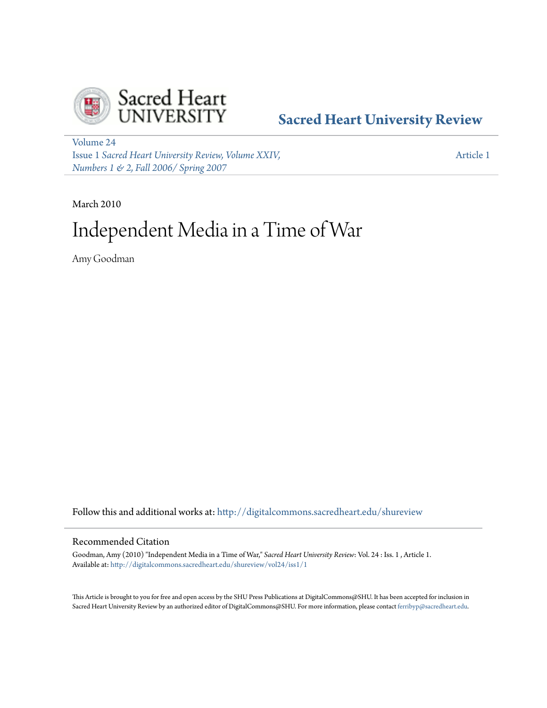

## **[Sacred Heart University Review](http://digitalcommons.sacredheart.edu/shureview?utm_source=digitalcommons.sacredheart.edu%2Fshureview%2Fvol24%2Fiss1%2F1&utm_medium=PDF&utm_campaign=PDFCoverPages)**

[Volume 24](http://digitalcommons.sacredheart.edu/shureview/vol24?utm_source=digitalcommons.sacredheart.edu%2Fshureview%2Fvol24%2Fiss1%2F1&utm_medium=PDF&utm_campaign=PDFCoverPages) Issue 1 *[Sacred Heart University Review, Volume XXIV,](http://digitalcommons.sacredheart.edu/shureview/vol24/iss1?utm_source=digitalcommons.sacredheart.edu%2Fshureview%2Fvol24%2Fiss1%2F1&utm_medium=PDF&utm_campaign=PDFCoverPages) [Numbers 1 & 2, Fall 2006/ Spring 2007](http://digitalcommons.sacredheart.edu/shureview/vol24/iss1?utm_source=digitalcommons.sacredheart.edu%2Fshureview%2Fvol24%2Fiss1%2F1&utm_medium=PDF&utm_campaign=PDFCoverPages)*

[Article 1](http://digitalcommons.sacredheart.edu/shureview/vol24/iss1/1?utm_source=digitalcommons.sacredheart.edu%2Fshureview%2Fvol24%2Fiss1%2F1&utm_medium=PDF&utm_campaign=PDFCoverPages)

March 2010

# Independent Media in a Time of War

Amy Goodman

Follow this and additional works at: [http://digitalcommons.sacredheart.edu/shureview](http://digitalcommons.sacredheart.edu/shureview?utm_source=digitalcommons.sacredheart.edu%2Fshureview%2Fvol24%2Fiss1%2F1&utm_medium=PDF&utm_campaign=PDFCoverPages)

#### Recommended Citation

Goodman, Amy (2010) "Independent Media in a Time of War," *Sacred Heart University Review*: Vol. 24 : Iss. 1 , Article 1. Available at: [http://digitalcommons.sacredheart.edu/shureview/vol24/iss1/1](http://digitalcommons.sacredheart.edu/shureview/vol24/iss1/1?utm_source=digitalcommons.sacredheart.edu%2Fshureview%2Fvol24%2Fiss1%2F1&utm_medium=PDF&utm_campaign=PDFCoverPages)

This Article is brought to you for free and open access by the SHU Press Publications at DigitalCommons@SHU. It has been accepted for inclusion in Sacred Heart University Review by an authorized editor of DigitalCommons@SHU. For more information, please contact [ferribyp@sacredheart.edu](mailto:ferribyp@sacredheart.edu).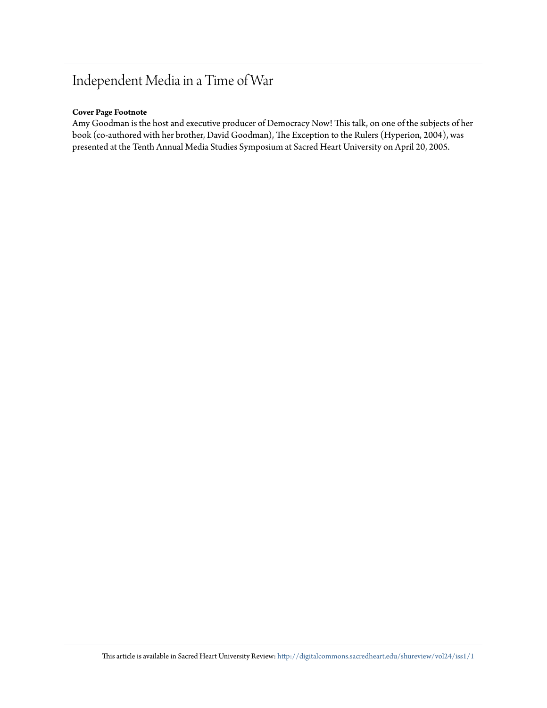# Independent Media in a Time of War

#### **Cover Page Footnote**

Amy Goodman is the host and executive producer of Democracy Now! This talk, on one of the subjects of her book (co-authored with her brother, David Goodman), The Exception to the Rulers (Hyperion, 2004), was presented at the Tenth Annual Media Studies Symposium at Sacred Heart University on April 20, 2005.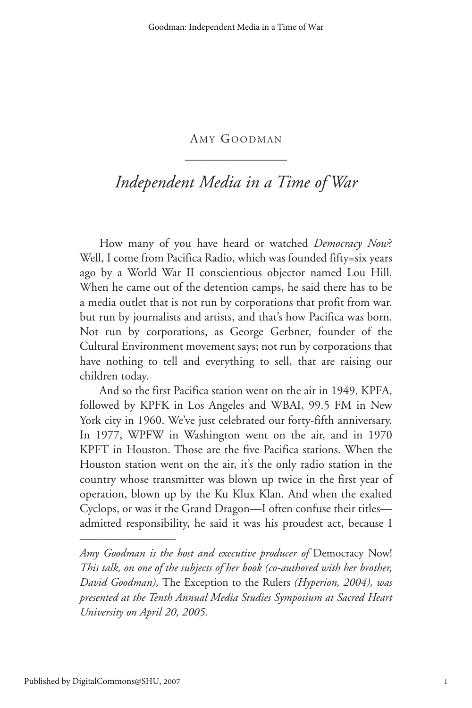### AMY GOODMAN \_\_\_\_\_\_\_\_\_\_\_\_\_\_\_\_\_

## *Independent Media in a Time of War*

How many of you have heard or watched *Democracy Now*? Well, I come from Pacifica Radio, which was founded fifty=six years ago by a World War II conscientious objector named Lou Hill. When he came out of the detention camps, he said there has to be a media outlet that is not run by corporations that profit from war. but run by journalists and artists, and that's how Pacifica was born. Not run by corporations, as George Gerbner, founder of the Cultural Environment movement says; not run by corporations that have nothing to tell and everything to sell, that are raising our children today.

And so the first Pacifica station went on the air in 1949, KPFA, followed by KPFK in Los Angeles and WBAI, 99.5 FM in New York city in 1960. We've just celebrated our forty-fifth anniversary. In 1977, WPFW in Washington went on the air, and in 1970 KPFT in Houston. Those are the five Pacifica stations. When the Houston station went on the air, it's the only radio station in the country whose transmitter was blown up twice in the first year of operation, blown up by the Ku Klux Klan. And when the exalted Cyclops, or was it the Grand Dragon—I often confuse their titles admitted responsibility, he said it was his proudest act, because I

————————

*Amy Goodman is the host and executive producer of* Democracy Now! *This talk, on one of the subjects of her book (co-authored with her brother, David Goodman),* The Exception to the Rulers *(Hyperion, 2004), was presented at the Tenth Annual Media Studies Symposium at Sacred Heart University on April 20, 2005.*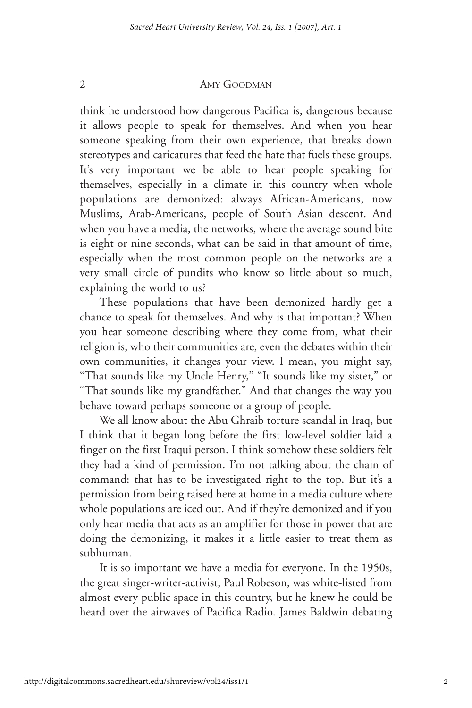think he understood how dangerous Pacifica is, dangerous because it allows people to speak for themselves. And when you hear someone speaking from their own experience, that breaks down stereotypes and caricatures that feed the hate that fuels these groups. It's very important we be able to hear people speaking for themselves, especially in a climate in this country when whole populations are demonized: always African-Americans, now Muslims, Arab-Americans, people of South Asian descent. And when you have a media, the networks, where the average sound bite is eight or nine seconds, what can be said in that amount of time, especially when the most common people on the networks are a very small circle of pundits who know so little about so much, explaining the world to us?

These populations that have been demonized hardly get a chance to speak for themselves. And why is that important? When you hear someone describing where they come from, what their religion is, who their communities are, even the debates within their own communities, it changes your view. I mean, you might say, "That sounds like my Uncle Henry," "It sounds like my sister," or "That sounds like my grandfather." And that changes the way you behave toward perhaps someone or a group of people.

We all know about the Abu Ghraib torture scandal in Iraq, but I think that it began long before the first low-level soldier laid a finger on the first Iraqui person. I think somehow these soldiers felt they had a kind of permission. I'm not talking about the chain of command: that has to be investigated right to the top. But it's a permission from being raised here at home in a media culture where whole populations are iced out. And if they're demonized and if you only hear media that acts as an amplifier for those in power that are doing the demonizing, it makes it a little easier to treat them as subhuman.

It is so important we have a media for everyone. In the 1950s, the great singer-writer-activist, Paul Robeson, was white-listed from almost every public space in this country, but he knew he could be heard over the airwaves of Pacifica Radio. James Baldwin debating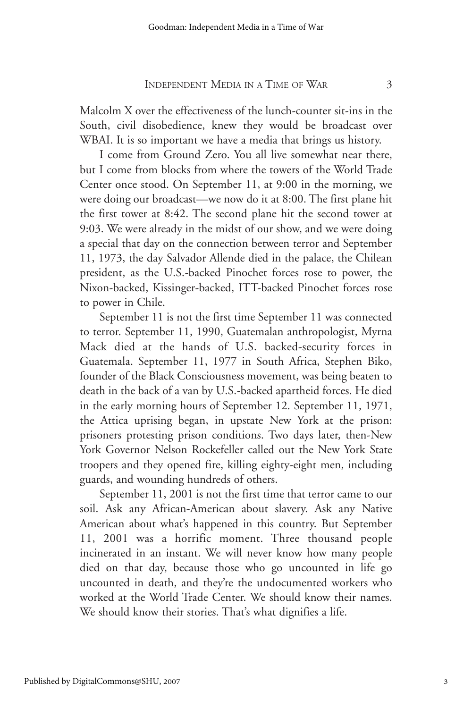Malcolm X over the effectiveness of the lunch-counter sit-ins in the South, civil disobedience, knew they would be broadcast over WBAI. It is so important we have a media that brings us history.

I come from Ground Zero. You all live somewhat near there, but I come from blocks from where the towers of the World Trade Center once stood. On September 11, at 9:00 in the morning, we were doing our broadcast—we now do it at 8:00. The first plane hit the first tower at 8:42. The second plane hit the second tower at 9:03. We were already in the midst of our show, and we were doing a special that day on the connection between terror and September 11, 1973, the day Salvador Allende died in the palace, the Chilean president, as the U.S.-backed Pinochet forces rose to power, the Nixon-backed, Kissinger-backed, ITT-backed Pinochet forces rose to power in Chile.

September 11 is not the first time September 11 was connected to terror. September 11, 1990, Guatemalan anthropologist, Myrna Mack died at the hands of U.S. backed-security forces in Guatemala. September 11, 1977 in South Africa, Stephen Biko, founder of the Black Consciousness movement, was being beaten to death in the back of a van by U.S.-backed apartheid forces. He died in the early morning hours of September 12. September 11, 1971, the Attica uprising began, in upstate New York at the prison: prisoners protesting prison conditions. Two days later, then-New York Governor Nelson Rockefeller called out the New York State troopers and they opened fire, killing eighty-eight men, including guards, and wounding hundreds of others.

September 11, 2001 is not the first time that terror came to our soil. Ask any African-American about slavery. Ask any Native American about what's happened in this country. But September 11, 2001 was a horrific moment. Three thousand people incinerated in an instant. We will never know how many people died on that day, because those who go uncounted in life go uncounted in death, and they're the undocumented workers who worked at the World Trade Center. We should know their names. We should know their stories. That's what dignifies a life.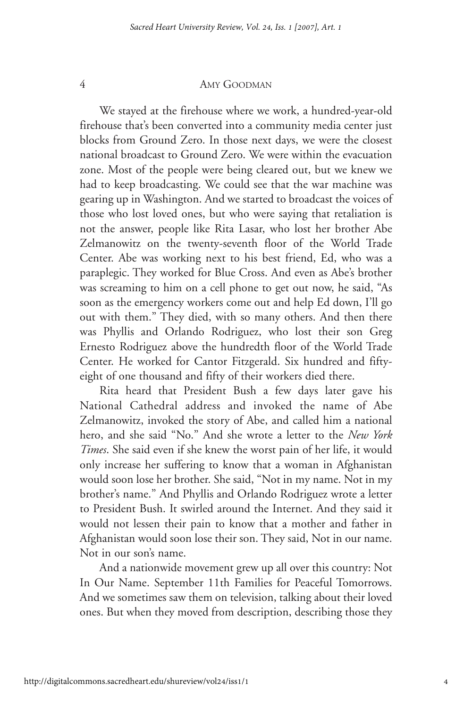We stayed at the firehouse where we work, a hundred-year-old firehouse that's been converted into a community media center just blocks from Ground Zero. In those next days, we were the closest national broadcast to Ground Zero. We were within the evacuation zone. Most of the people were being cleared out, but we knew we had to keep broadcasting. We could see that the war machine was gearing up in Washington. And we started to broadcast the voices of those who lost loved ones, but who were saying that retaliation is not the answer, people like Rita Lasar, who lost her brother Abe Zelmanowitz on the twenty-seventh floor of the World Trade Center. Abe was working next to his best friend, Ed, who was a paraplegic. They worked for Blue Cross. And even as Abe's brother was screaming to him on a cell phone to get out now, he said, "As soon as the emergency workers come out and help Ed down, I'll go out with them." They died, with so many others. And then there was Phyllis and Orlando Rodriguez, who lost their son Greg Ernesto Rodriguez above the hundredth floor of the World Trade Center. He worked for Cantor Fitzgerald. Six hundred and fiftyeight of one thousand and fifty of their workers died there.

Rita heard that President Bush a few days later gave his National Cathedral address and invoked the name of Abe Zelmanowitz, invoked the story of Abe, and called him a national hero, and she said "No." And she wrote a letter to the *New York Times*. She said even if she knew the worst pain of her life, it would only increase her suffering to know that a woman in Afghanistan would soon lose her brother. She said, "Not in my name. Not in my brother's name." And Phyllis and Orlando Rodriguez wrote a letter to President Bush. It swirled around the Internet. And they said it would not lessen their pain to know that a mother and father in Afghanistan would soon lose their son. They said, Not in our name. Not in our son's name.

And a nationwide movement grew up all over this country: Not In Our Name. September 11th Families for Peaceful Tomorrows. And we sometimes saw them on television, talking about their loved ones. But when they moved from description, describing those they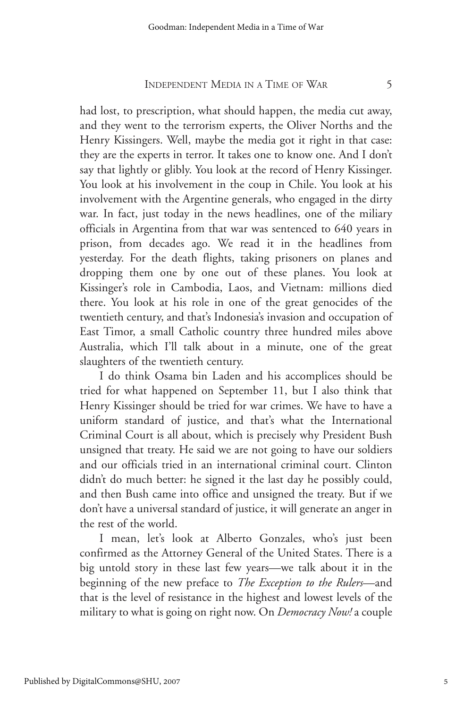had lost, to prescription, what should happen, the media cut away, and they went to the terrorism experts, the Oliver Norths and the Henry Kissingers. Well, maybe the media got it right in that case: they are the experts in terror. It takes one to know one. And I don't say that lightly or glibly. You look at the record of Henry Kissinger. You look at his involvement in the coup in Chile. You look at his involvement with the Argentine generals, who engaged in the dirty war. In fact, just today in the news headlines, one of the miliary officials in Argentina from that war was sentenced to 640 years in prison, from decades ago. We read it in the headlines from yesterday. For the death flights, taking prisoners on planes and dropping them one by one out of these planes. You look at Kissinger's role in Cambodia, Laos, and Vietnam: millions died there. You look at his role in one of the great genocides of the twentieth century, and that's Indonesia's invasion and occupation of East Timor, a small Catholic country three hundred miles above Australia, which I'll talk about in a minute, one of the great slaughters of the twentieth century.

I do think Osama bin Laden and his accomplices should be tried for what happened on September 11, but I also think that Henry Kissinger should be tried for war crimes. We have to have a uniform standard of justice, and that's what the International Criminal Court is all about, which is precisely why President Bush unsigned that treaty. He said we are not going to have our soldiers and our officials tried in an international criminal court. Clinton didn't do much better: he signed it the last day he possibly could, and then Bush came into office and unsigned the treaty. But if we don't have a universal standard of justice, it will generate an anger in the rest of the world.

I mean, let's look at Alberto Gonzales, who's just been confirmed as the Attorney General of the United States. There is a big untold story in these last few years—we talk about it in the beginning of the new preface to *The Exception to the Rulers*—and that is the level of resistance in the highest and lowest levels of the military to what is going on right now. On *Democracy Now!* a couple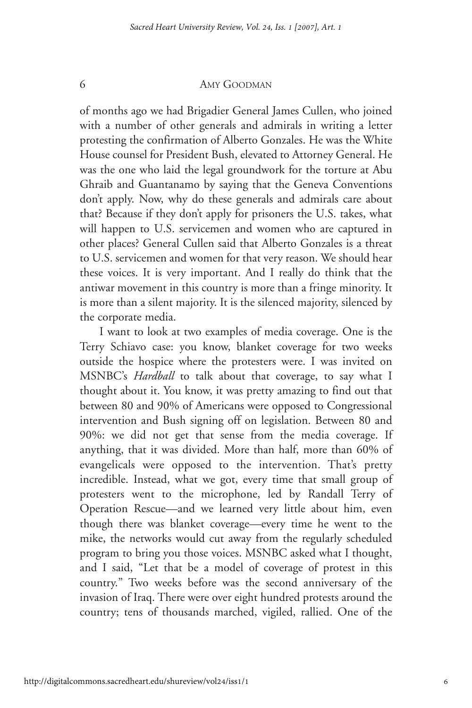of months ago we had Brigadier General James Cullen, who joined with a number of other generals and admirals in writing a letter protesting the confirmation of Alberto Gonzales. He was the White House counsel for President Bush, elevated to Attorney General. He was the one who laid the legal groundwork for the torture at Abu Ghraib and Guantanamo by saying that the Geneva Conventions don't apply. Now, why do these generals and admirals care about that? Because if they don't apply for prisoners the U.S. takes, what will happen to U.S. servicemen and women who are captured in other places? General Cullen said that Alberto Gonzales is a threat to U.S. servicemen and women for that very reason. We should hear these voices. It is very important. And I really do think that the antiwar movement in this country is more than a fringe minority. It is more than a silent majority. It is the silenced majority, silenced by the corporate media.

I want to look at two examples of media coverage. One is the Terry Schiavo case: you know, blanket coverage for two weeks outside the hospice where the protesters were. I was invited on MSNBC's *Hardball* to talk about that coverage, to say what I thought about it. You know, it was pretty amazing to find out that between 80 and 90% of Americans were opposed to Congressional intervention and Bush signing off on legislation. Between 80 and 90%: we did not get that sense from the media coverage. If anything, that it was divided. More than half, more than 60% of evangelicals were opposed to the intervention. That's pretty incredible. Instead, what we got, every time that small group of protesters went to the microphone, led by Randall Terry of Operation Rescue—and we learned very little about him, even though there was blanket coverage—every time he went to the mike, the networks would cut away from the regularly scheduled program to bring you those voices. MSNBC asked what I thought, and I said, "Let that be a model of coverage of protest in this country." Two weeks before was the second anniversary of the invasion of Iraq. There were over eight hundred protests around the country; tens of thousands marched, vigiled, rallied. One of the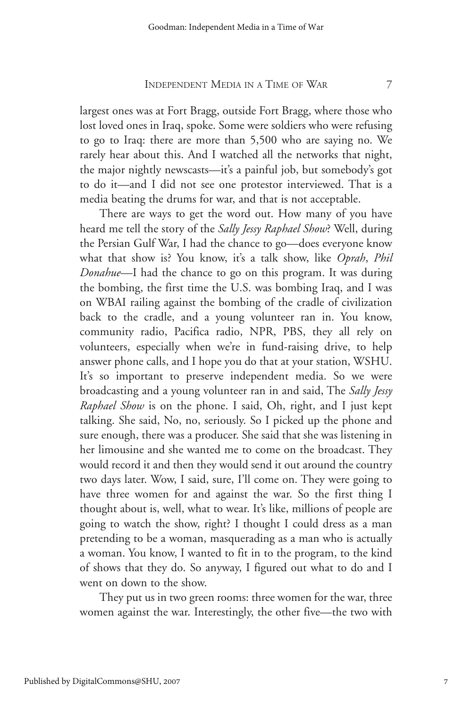largest ones was at Fort Bragg, outside Fort Bragg, where those who lost loved ones in Iraq, spoke. Some were soldiers who were refusing to go to Iraq: there are more than 5,500 who are saying no. We rarely hear about this. And I watched all the networks that night, the major nightly newscasts—it's a painful job, but somebody's got to do it—and I did not see one protestor interviewed. That is a media beating the drums for war, and that is not acceptable.

There are ways to get the word out. How many of you have heard me tell the story of the *Sally Jessy Raphael Show*? Well, during the Persian Gulf War, I had the chance to go—does everyone know what that show is? You know, it's a talk show, like *Oprah*, *Phil Donahue*—I had the chance to go on this program. It was during the bombing, the first time the U.S. was bombing Iraq, and I was on WBAI railing against the bombing of the cradle of civilization back to the cradle, and a young volunteer ran in. You know, community radio, Pacifica radio, NPR, PBS, they all rely on volunteers, especially when we're in fund-raising drive, to help answer phone calls, and I hope you do that at your station, WSHU. It's so important to preserve independent media. So we were broadcasting and a young volunteer ran in and said, The *Sally Jessy Raphael Show* is on the phone. I said, Oh, right, and I just kept talking. She said, No, no, seriously. So I picked up the phone and sure enough, there was a producer. She said that she was listening in her limousine and she wanted me to come on the broadcast. They would record it and then they would send it out around the country two days later. Wow, I said, sure, I'll come on. They were going to have three women for and against the war. So the first thing I thought about is, well, what to wear. It's like, millions of people are going to watch the show, right? I thought I could dress as a man pretending to be a woman, masquerading as a man who is actually a woman. You know, I wanted to fit in to the program, to the kind of shows that they do. So anyway, I figured out what to do and I went on down to the show.

They put us in two green rooms: three women for the war, three women against the war. Interestingly, the other five—the two with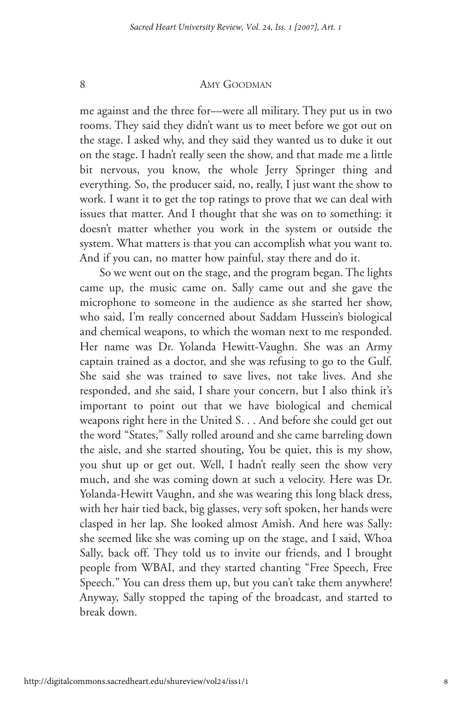me against and the three for—were all military. They put us in two rooms. They said they didn't want us to meet before we got out on the stage. I asked why, and they said they wanted us to duke it out on the stage. I hadn't really seen the show, and that made me a little bit nervous, you know, the whole Jerry Springer thing and everything. So, the producer said, no, really, I just want the show to work. I want it to get the top ratings to prove that we can deal with issues that matter. And I thought that she was on to something: it doesn't matter whether you work in the system or outside the system. What matters is that you can accomplish what you want to. And if you can, no matter how painful, stay there and do it.

So we went out on the stage, and the program began. The lights came up, the music came on. Sally came out and she gave the microphone to someone in the audience as she started her show, who said, I'm really concerned about Saddam Hussein's biological and chemical weapons, to which the woman next to me responded. Her name was Dr. Yolanda Hewitt-Vaughn. She was an Army captain trained as a doctor, and she was refusing to go to the Gulf. She said she was trained to save lives, not take lives. And she responded, and she said, I share your concern, but I also think it's important to point out that we have biological and chemical weapons right here in the United S. . . And before she could get out the word "States," Sally rolled around and she came barreling down the aisle, and she started shouting, You be quiet, this is my show, you shut up or get out. Well, I hadn't really seen the show very much, and she was coming down at such a velocity. Here was Dr. Yolanda-Hewitt Vaughn, and she was wearing this long black dress, with her hair tied back, big glasses, very soft spoken, her hands were clasped in her lap. She looked almost Amish. And here was Sally: she seemed like she was coming up on the stage, and I said, Whoa Sally, back off. They told us to invite our friends, and I brought people from WBAI, and they started chanting "Free Speech, Free Speech." You can dress them up, but you can't take them anywhere! Anyway, Sally stopped the taping of the broadcast, and started to break down.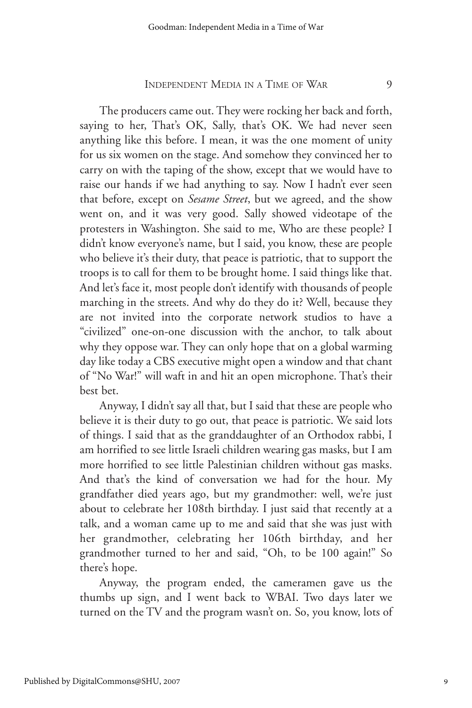The producers came out. They were rocking her back and forth, saying to her, That's OK, Sally, that's OK. We had never seen anything like this before. I mean, it was the one moment of unity for us six women on the stage. And somehow they convinced her to carry on with the taping of the show, except that we would have to raise our hands if we had anything to say. Now I hadn't ever seen that before, except on *Sesame Street*, but we agreed, and the show went on, and it was very good. Sally showed videotape of the protesters in Washington. She said to me, Who are these people? I didn't know everyone's name, but I said, you know, these are people who believe it's their duty, that peace is patriotic, that to support the troops is to call for them to be brought home. I said things like that. And let's face it, most people don't identify with thousands of people marching in the streets. And why do they do it? Well, because they are not invited into the corporate network studios to have a "civilized" one-on-one discussion with the anchor, to talk about why they oppose war. They can only hope that on a global warming day like today a CBS executive might open a window and that chant of "No War!" will waft in and hit an open microphone. That's their best bet.

Anyway, I didn't say all that, but I said that these are people who believe it is their duty to go out, that peace is patriotic. We said lots of things. I said that as the granddaughter of an Orthodox rabbi, I am horrified to see little Israeli children wearing gas masks, but I am more horrified to see little Palestinian children without gas masks. And that's the kind of conversation we had for the hour. My grandfather died years ago, but my grandmother: well, we're just about to celebrate her 108th birthday. I just said that recently at a talk, and a woman came up to me and said that she was just with her grandmother, celebrating her 106th birthday, and her grandmother turned to her and said, "Oh, to be 100 again!" So there's hope.

Anyway, the program ended, the cameramen gave us the thumbs up sign, and I went back to WBAI. Two days later we turned on the TV and the program wasn't on. So, you know, lots of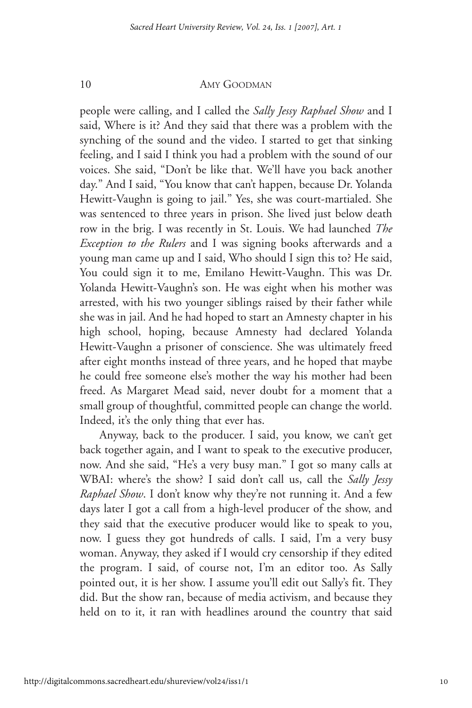people were calling, and I called the *Sally Jessy Raphael Show* and I said, Where is it? And they said that there was a problem with the synching of the sound and the video. I started to get that sinking feeling, and I said I think you had a problem with the sound of our voices. She said, "Don't be like that. We'll have you back another day." And I said, "You know that can't happen, because Dr. Yolanda Hewitt-Vaughn is going to jail." Yes, she was court-martialed. She was sentenced to three years in prison. She lived just below death row in the brig. I was recently in St. Louis. We had launched *The Exception to the Rulers* and I was signing books afterwards and a young man came up and I said, Who should I sign this to? He said, You could sign it to me, Emilano Hewitt-Vaughn. This was Dr. Yolanda Hewitt-Vaughn's son. He was eight when his mother was arrested, with his two younger siblings raised by their father while she was in jail. And he had hoped to start an Amnesty chapter in his high school, hoping, because Amnesty had declared Yolanda Hewitt-Vaughn a prisoner of conscience. She was ultimately freed after eight months instead of three years, and he hoped that maybe he could free someone else's mother the way his mother had been freed. As Margaret Mead said, never doubt for a moment that a small group of thoughtful, committed people can change the world. Indeed, it's the only thing that ever has.

Anyway, back to the producer. I said, you know, we can't get back together again, and I want to speak to the executive producer, now. And she said, "He's a very busy man." I got so many calls at WBAI: where's the show? I said don't call us, call the *Sally Jessy Raphael Show*. I don't know why they're not running it. And a few days later I got a call from a high-level producer of the show, and they said that the executive producer would like to speak to you, now. I guess they got hundreds of calls. I said, I'm a very busy woman. Anyway, they asked if I would cry censorship if they edited the program. I said, of course not, I'm an editor too. As Sally pointed out, it is her show. I assume you'll edit out Sally's fit. They did. But the show ran, because of media activism, and because they held on to it, it ran with headlines around the country that said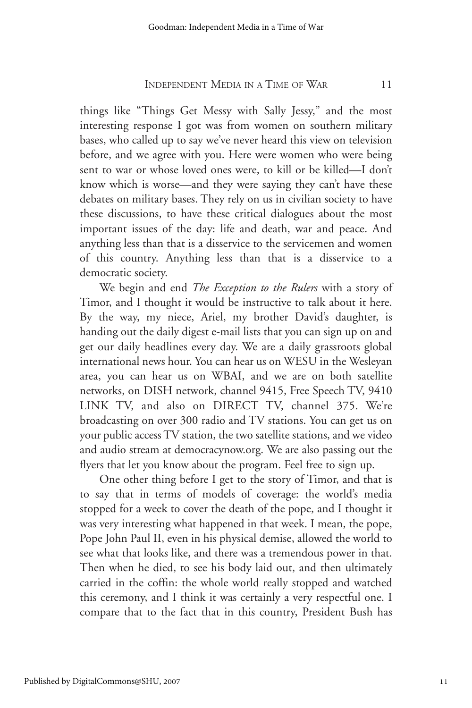things like "Things Get Messy with Sally Jessy," and the most interesting response I got was from women on southern military bases, who called up to say we've never heard this view on television before, and we agree with you. Here were women who were being sent to war or whose loved ones were, to kill or be killed—I don't know which is worse—and they were saying they can't have these debates on military bases. They rely on us in civilian society to have these discussions, to have these critical dialogues about the most important issues of the day: life and death, war and peace. And anything less than that is a disservice to the servicemen and women of this country. Anything less than that is a disservice to a democratic society.

We begin and end *The Exception to the Rulers* with a story of Timor, and I thought it would be instructive to talk about it here. By the way, my niece, Ariel, my brother David's daughter, is handing out the daily digest e-mail lists that you can sign up on and get our daily headlines every day. We are a daily grassroots global international news hour. You can hear us on WESU in the Wesleyan area, you can hear us on WBAI, and we are on both satellite networks, on DISH network, channel 9415, Free Speech TV, 9410 LINK TV, and also on DIRECT TV, channel 375. We're broadcasting on over 300 radio and TV stations. You can get us on your public access TV station, the two satellite stations, and we video and audio stream at democracynow.org. We are also passing out the flyers that let you know about the program. Feel free to sign up.

One other thing before I get to the story of Timor, and that is to say that in terms of models of coverage: the world's media stopped for a week to cover the death of the pope, and I thought it was very interesting what happened in that week. I mean, the pope, Pope John Paul II, even in his physical demise, allowed the world to see what that looks like, and there was a tremendous power in that. Then when he died, to see his body laid out, and then ultimately carried in the coffin: the whole world really stopped and watched this ceremony, and I think it was certainly a very respectful one. I compare that to the fact that in this country, President Bush has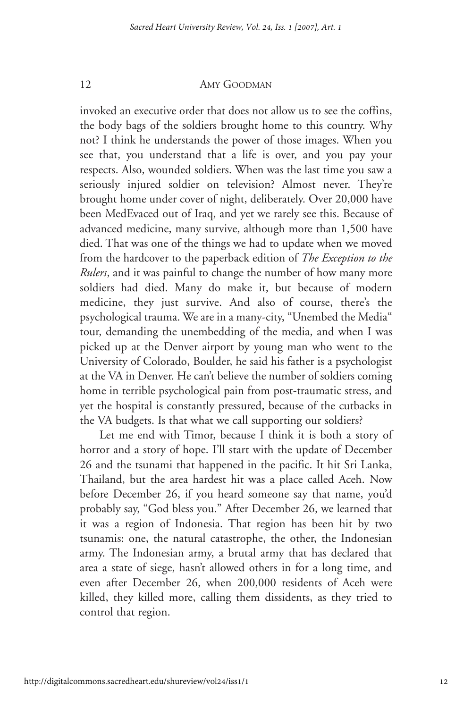invoked an executive order that does not allow us to see the coffins, the body bags of the soldiers brought home to this country. Why not? I think he understands the power of those images. When you see that, you understand that a life is over, and you pay your respects. Also, wounded soldiers. When was the last time you saw a seriously injured soldier on television? Almost never. They're brought home under cover of night, deliberately. Over 20,000 have been MedEvaced out of Iraq, and yet we rarely see this. Because of advanced medicine, many survive, although more than 1,500 have died. That was one of the things we had to update when we moved from the hardcover to the paperback edition of *The Exception to the Rulers*, and it was painful to change the number of how many more soldiers had died. Many do make it, but because of modern medicine, they just survive. And also of course, there's the psychological trauma. We are in a many-city, "Unembed the Media" tour, demanding the unembedding of the media, and when I was picked up at the Denver airport by young man who went to the University of Colorado, Boulder, he said his father is a psychologist at the VA in Denver. He can't believe the number of soldiers coming home in terrible psychological pain from post-traumatic stress, and yet the hospital is constantly pressured, because of the cutbacks in the VA budgets. Is that what we call supporting our soldiers?

Let me end with Timor, because I think it is both a story of horror and a story of hope. I'll start with the update of December 26 and the tsunami that happened in the pacific. It hit Sri Lanka, Thailand, but the area hardest hit was a place called Aceh. Now before December 26, if you heard someone say that name, you'd probably say, "God bless you." After December 26, we learned that it was a region of Indonesia. That region has been hit by two tsunamis: one, the natural catastrophe, the other, the Indonesian army. The Indonesian army, a brutal army that has declared that area a state of siege, hasn't allowed others in for a long time, and even after December 26, when 200,000 residents of Aceh were killed, they killed more, calling them dissidents, as they tried to control that region.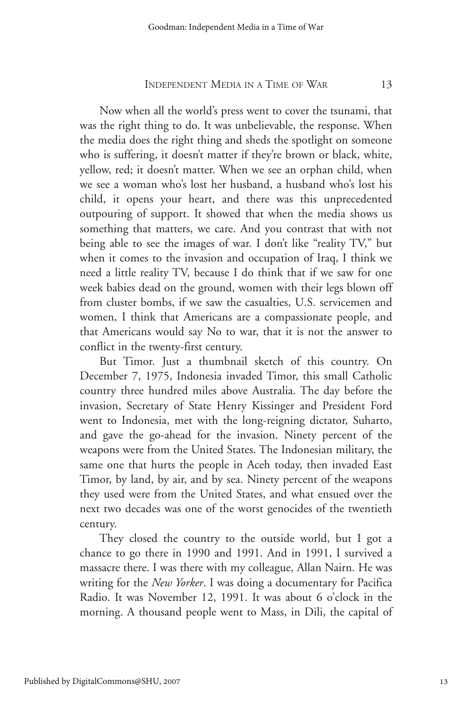Now when all the world's press went to cover the tsunami, that was the right thing to do. It was unbelievable, the response. When the media does the right thing and sheds the spotlight on someone who is suffering, it doesn't matter if they're brown or black, white, yellow, red; it doesn't matter. When we see an orphan child, when we see a woman who's lost her husband, a husband who's lost his child, it opens your heart, and there was this unprecedented outpouring of support. It showed that when the media shows us something that matters, we care. And you contrast that with not being able to see the images of war. I don't like "reality TV," but when it comes to the invasion and occupation of Iraq, I think we need a little reality TV, because I do think that if we saw for one week babies dead on the ground, women with their legs blown off from cluster bombs, if we saw the casualties, U.S. servicemen and women, I think that Americans are a compassionate people, and that Americans would say No to war, that it is not the answer to conflict in the twenty-first century.

But Timor. Just a thumbnail sketch of this country. On December 7, 1975, Indonesia invaded Timor, this small Catholic country three hundred miles above Australia. The day before the invasion, Secretary of State Henry Kissinger and President Ford went to Indonesia, met with the long-reigning dictator, Suharto, and gave the go-ahead for the invasion. Ninety percent of the weapons were from the United States. The Indonesian military, the same one that hurts the people in Aceh today, then invaded East Timor, by land, by air, and by sea. Ninety percent of the weapons they used were from the United States, and what ensued over the next two decades was one of the worst genocides of the twentieth century.

They closed the country to the outside world, but I got a chance to go there in 1990 and 1991. And in 1991, I survived a massacre there. I was there with my colleague, Allan Nairn. He was writing for the *New Yorker*. I was doing a documentary for Pacifica Radio. It was November 12, 1991. It was about 6 o'clock in the morning. A thousand people went to Mass, in Dili, the capital of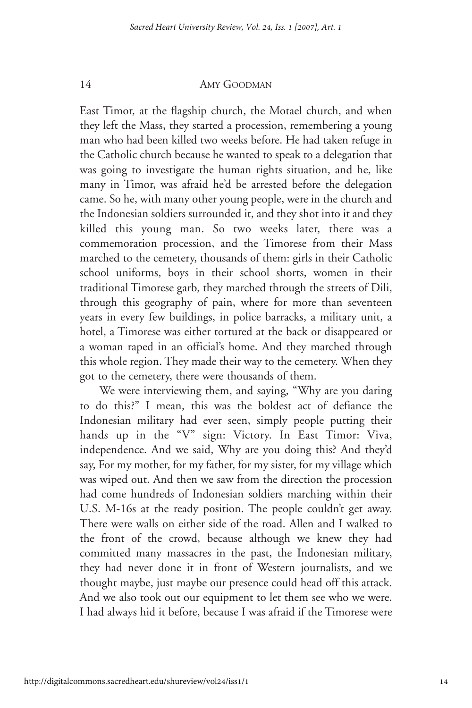East Timor, at the flagship church, the Motael church, and when they left the Mass, they started a procession, remembering a young man who had been killed two weeks before. He had taken refuge in the Catholic church because he wanted to speak to a delegation that was going to investigate the human rights situation, and he, like many in Timor, was afraid he'd be arrested before the delegation came. So he, with many other young people, were in the church and the Indonesian soldiers surrounded it, and they shot into it and they killed this young man. So two weeks later, there was a commemoration procession, and the Timorese from their Mass marched to the cemetery, thousands of them: girls in their Catholic school uniforms, boys in their school shorts, women in their traditional Timorese garb, they marched through the streets of Dili, through this geography of pain, where for more than seventeen years in every few buildings, in police barracks, a military unit, a hotel, a Timorese was either tortured at the back or disappeared or a woman raped in an official's home. And they marched through this whole region. They made their way to the cemetery. When they got to the cemetery, there were thousands of them.

We were interviewing them, and saying, "Why are you daring to do this?" I mean, this was the boldest act of defiance the Indonesian military had ever seen, simply people putting their hands up in the "V" sign: Victory. In East Timor: Viva, independence. And we said, Why are you doing this? And they'd say, For my mother, for my father, for my sister, for my village which was wiped out. And then we saw from the direction the procession had come hundreds of Indonesian soldiers marching within their U.S. M-16s at the ready position. The people couldn't get away. There were walls on either side of the road. Allen and I walked to the front of the crowd, because although we knew they had committed many massacres in the past, the Indonesian military, they had never done it in front of Western journalists, and we thought maybe, just maybe our presence could head off this attack. And we also took out our equipment to let them see who we were. I had always hid it before, because I was afraid if the Timorese were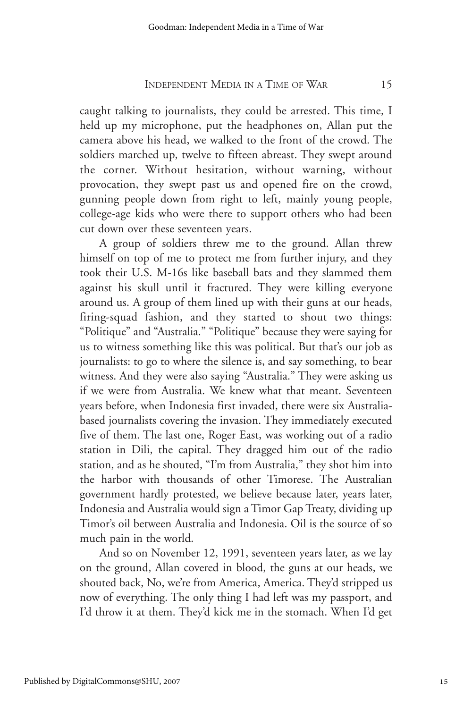caught talking to journalists, they could be arrested. This time, I held up my microphone, put the headphones on, Allan put the camera above his head, we walked to the front of the crowd. The soldiers marched up, twelve to fifteen abreast. They swept around the corner. Without hesitation, without warning, without provocation, they swept past us and opened fire on the crowd, gunning people down from right to left, mainly young people, college-age kids who were there to support others who had been cut down over these seventeen years.

A group of soldiers threw me to the ground. Allan threw himself on top of me to protect me from further injury, and they took their U.S. M-16s like baseball bats and they slammed them against his skull until it fractured. They were killing everyone around us. A group of them lined up with their guns at our heads, firing-squad fashion, and they started to shout two things: "Politique" and "Australia." "Politique" because they were saying for us to witness something like this was political. But that's our job as journalists: to go to where the silence is, and say something, to bear witness. And they were also saying "Australia." They were asking us if we were from Australia. We knew what that meant. Seventeen years before, when Indonesia first invaded, there were six Australiabased journalists covering the invasion. They immediately executed five of them. The last one, Roger East, was working out of a radio station in Dili, the capital. They dragged him out of the radio station, and as he shouted, "I'm from Australia," they shot him into the harbor with thousands of other Timorese. The Australian government hardly protested, we believe because later, years later, Indonesia and Australia would sign a Timor Gap Treaty, dividing up Timor's oil between Australia and Indonesia. Oil is the source of so much pain in the world.

And so on November 12, 1991, seventeen years later, as we lay on the ground, Allan covered in blood, the guns at our heads, we shouted back, No, we're from America, America. They'd stripped us now of everything. The only thing I had left was my passport, and I'd throw it at them. They'd kick me in the stomach. When I'd get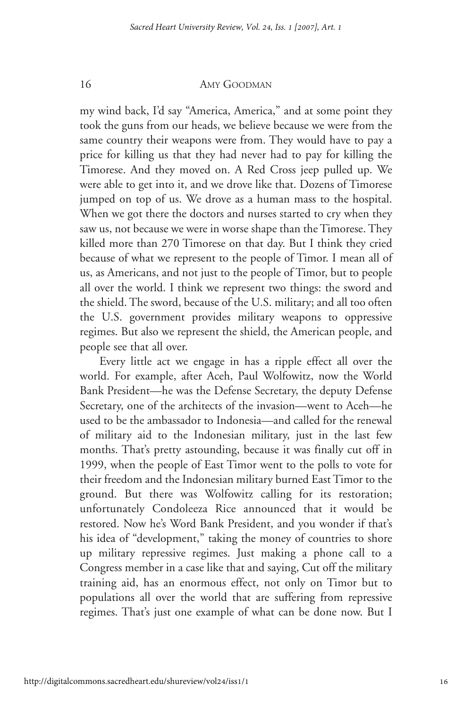my wind back, I'd say "America, America," and at some point they took the guns from our heads, we believe because we were from the same country their weapons were from. They would have to pay a price for killing us that they had never had to pay for killing the Timorese. And they moved on. A Red Cross jeep pulled up. We were able to get into it, and we drove like that. Dozens of Timorese jumped on top of us. We drove as a human mass to the hospital. When we got there the doctors and nurses started to cry when they saw us, not because we were in worse shape than the Timorese. They killed more than 270 Timorese on that day. But I think they cried because of what we represent to the people of Timor. I mean all of us, as Americans, and not just to the people of Timor, but to people all over the world. I think we represent two things: the sword and the shield. The sword, because of the U.S. military; and all too often the U.S. government provides military weapons to oppressive regimes. But also we represent the shield, the American people, and people see that all over.

Every little act we engage in has a ripple effect all over the world. For example, after Aceh, Paul Wolfowitz, now the World Bank President—he was the Defense Secretary, the deputy Defense Secretary, one of the architects of the invasion—went to Aceh—he used to be the ambassador to Indonesia—and called for the renewal of military aid to the Indonesian military, just in the last few months. That's pretty astounding, because it was finally cut off in 1999, when the people of East Timor went to the polls to vote for their freedom and the Indonesian military burned East Timor to the ground. But there was Wolfowitz calling for its restoration; unfortunately Condoleeza Rice announced that it would be restored. Now he's Word Bank President, and you wonder if that's his idea of "development," taking the money of countries to shore up military repressive regimes. Just making a phone call to a Congress member in a case like that and saying, Cut off the military training aid, has an enormous effect, not only on Timor but to populations all over the world that are suffering from repressive regimes. That's just one example of what can be done now. But I